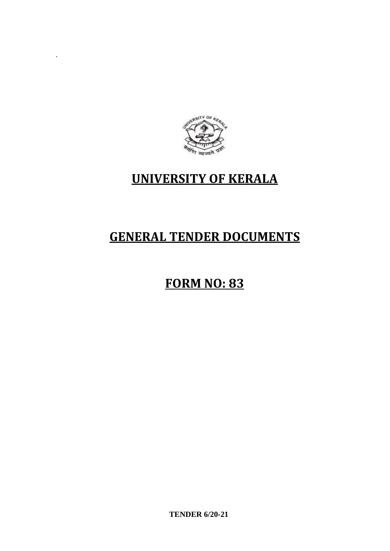

.

## **UNIVERSITY OF KERALA**

# **GENERAL TENDER DOCUMENTS**

# **FORM NO: 83**

**TENDER 6/20-21**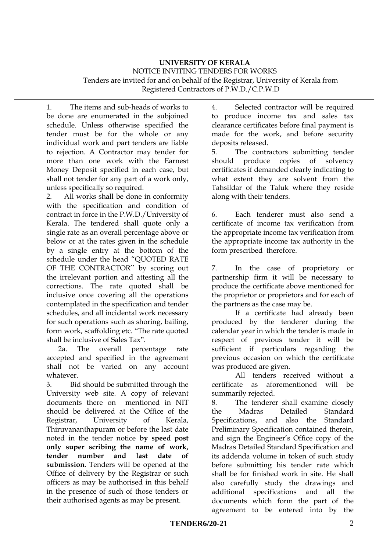#### **UNIVERSITY OF KERALA** NOTICE INVITING TENDERS FOR WORKS Tenders are invited for and on behalf of the Registrar, University of Kerala from Registered Contractors of P.W.D./C.P.W.D

1. The items and sub-heads of works to be done are enumerated in the subjoined schedule. Unless otherwise specified the tender must be for the whole or any individual work and part tenders are liable to rejection. A Contractor may tender for more than one work with the Earnest Money Deposit specified in each case, but shall not tender for any part of a work only, unless specifically so required.

2. All works shall be done in conformity with the specification and condition of contract in force in the P.W.D./University of Kerala. The tendered shall quote only a single rate as an overall percentage above or below or at the rates given in the schedule by a single entry at the bottom of the schedule under the head "QUOTED RATE OF THE CONTRACTOR'' by scoring out the irrelevant portion and attesting all the corrections. The rate quoted shall be inclusive once covering all the operations contemplated in the specification and tender schedules, and all incidental work necessary for such operations such as shoring, bailing, form work, scaffolding etc. "The rate quoted shall be inclusive of Sales Tax".

2a. The overall percentage rate accepted and specified in the agreement shall not be varied on any account whatever.

3. Bid should be submitted through the University web site. A copy of relevant documents there on mentioned in NIT should be delivered at the Office of the Registrar, University of Kerala, Thiruvananthapuram or before the last date noted in the tender notice **by speed post only super scribing the name of work, tender number and last date of submission**. Tenders will be opened at the Office of delivery by the Registrar or such officers as may be authorised in this behalf in the presence of such of those tenders or their authorised agents as may be present.

4. Selected contractor will be required to produce income tax and sales tax clearance certificates before final payment is made for the work, and before security deposits released.

5. The contractors submitting tender should produce copies of solvency certificates if demanded clearly indicating to what extent they are solvent from the Tahsildar of the Taluk where they reside along with their tenders.

6. Each tenderer must also send a certificate of income tax verification from the appropriate income tax verification from the appropriate income tax authority in the form prescribed therefore.

7. In the case of proprietory or partnership firm it will be necessary to produce the certificate above mentioned for the proprietor or proprietors and for each of the partners as the case may be.

If a certificate had already been produced by the tenderer during the calendar year in which the tender is made in respect of previous tender it will be sufficient if particulars regarding the previous occasion on which the certificate was produced are given.

All tenders received without a certificate as aforementioned will be summarily rejected.

8. The tenderer shall examine closely the Madras Detailed Standard Specifications, and also the Standard Preliminary Specification contained therein, and sign the Engineer's Office copy of the Madras Detailed Standard Specification and its addenda volume in token of such study before submitting his tender rate which shall be for finished work in site. He shall also carefully study the drawings and additional specifications and all the documents which form the part of the agreement to be entered into by the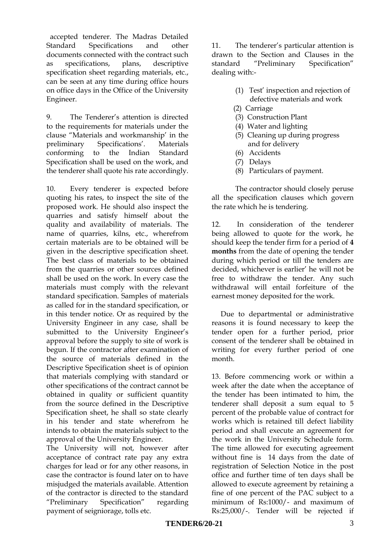accepted tenderer. The Madras Detailed Standard Specifications and other documents connected with the contract such as specifications, plans, descriptive specification sheet regarding materials, etc., can be seen at any time during office hours on office days in the Office of the University Engineer.

9. The Tenderer's attention is directed to the requirements for materials under the clause "Materials and workmanship' in the preliminary Specifications'. Materials conforming to the Indian Standard Specification shall be used on the work, and the tenderer shall quote his rate accordingly.

10. Every tenderer is expected before quoting his rates, to inspect the site of the proposed work. He should also inspect the quarries and satisfy himself about the quality and availability of materials. The name of quarries, kilns, etc., wherefrom certain materials are to be obtained will be given in the descriptive specification sheet. The best class of materials to be obtained from the quarries or other sources defined shall be used on the work. In every case the materials must comply with the relevant standard specification. Samples of materials as called for in the standard specification, or in this tender notice. Or as required by the University Engineer in any case, shall be submitted to the University Engineer's approval before the supply to site of work is begun. If the contractor after examination of the source of materials defined in the Descriptive Specification sheet is of opinion that materials complying with standard or other specifications of the contract cannot be obtained in quality or sufficient quantity from the source defined in the Descriptive Specification sheet, he shall so state clearly in his tender and state wherefrom he intends to obtain the materials subject to the approval of the University Engineer.

The University will not, however after acceptance of contract rate pay any extra charges for lead or for any other reasons, in case the contractor is found later on to have misjudged the materials available. Attention of the contractor is directed to the standard "Preliminary Specification" regarding payment of seigniorage, tolls etc.

11. The tenderer's particular attention is drawn to the Section and Clauses in the standard "Preliminary Specification" dealing with:-

- (1) Test' inspection and rejection of defective materials and work
- (2) Carriage
- (3) Construction Plant
- (4) Water and lighting
- (5) Cleaning up during progress and for delivery
- (6) Accidents
- (7) Delays
- (8) Particulars of payment.

The contractor should closely peruse all the specification clauses which govern the rate which he is tendering.

12. In consideration of the tenderer being allowed to quote for the work, he should keep the tender firm for a period of **4 months** from the date of opening the tender during which period or till the tenders are decided, whichever is earlier' he will not be free to withdraw the tender. Any such withdrawal will entail forfeiture of the earnest money deposited for the work.

 Due to departmental or administrative reasons it is found necessary to keep the tender open for a further period, prior consent of the tenderer shall be obtained in writing for every further period of one month.

13. Before commencing work or within a week after the date when the acceptance of the tender has been intimated to him, the tenderer shall deposit a sum equal to 5 percent of the probable value of contract for works which is retained till defect liability period and shall execute an agreement for the work in the University Schedule form. The time allowed for executing agreement without fine is 14 days from the date of registration of Selection Notice in the post office and further time of ten days shall be allowed to execute agreement by retaining a fine of one percent of the PAC subject to a minimum of Rs:1000/- and maximum of Rs:25,000/-. Tender will be rejected if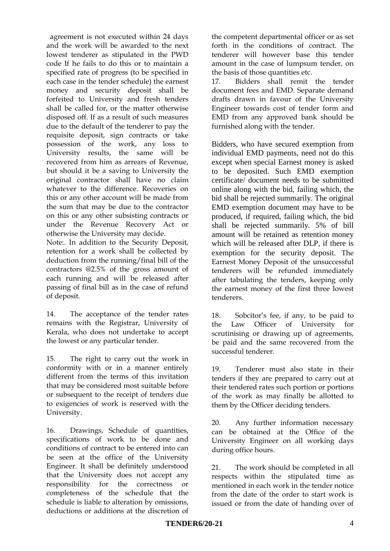agreement is not executed within 24 days and the work will be awarded to the next lowest tenderer as stipulated in the PWD code If he fails to do this or to maintain a specified rate of progress (to be specified in each case in the tender schedule) the earnest money and security deposit shall be forfeited to University and fresh tenders shall be called for, or the matter otherwise disposed off. If as a result of such measures due to the default of the tenderer to pay the requisite deposit, sign contracts or take possession of the work, any loss to University results, the same will be recovered from him as arrears of Revenue, but should it be a saving to University the original contractor shall have no claim whatever to the difference. Recoveries on this or any other account will be made from the sum that may be due to the contractor on this or any other subsisting contracts or under the Revenue Recovery Act or otherwise the University may decide.

Note:. In addition to the Security Deposit, retention for a work shall be collected by deduction from the running/final bill of the contractors @2.5% of the gross amount of each running and will be released after passing of final bill as in the case of refund of deposit.

14. The acceptance of the tender rates remains with the Registrar, University of Kerala, who does not undertake to accept the lowest or any particular tender.

15. The right to carry out the work in conformity with or in a manner entirely different from the terms of this invitation that may be considered most suitable before or subsequent to the receipt of tenders due to exigencies of work is reserved with the University.

16. Drawings, Schedule of quantities, specifications of work to be done and conditions of contract to be entered into can be seen at the office of the University Engineer. It shall be definitely understood that the University does not accept any responsibility for the correctness or completeness of the schedule that the schedule is liable to alteration by omissions, deductions or additions at the discretion of

the competent departmental officer or as set forth in the conditions of contract. The tenderer will however base this tender amount in the case of lumpsum tender, on the basis of those quantities etc.

17. Bidders shall remit the tender document fees and EMD. Separate demand drafts drawn in favour of the University Engineer towards cost of tender form and EMD from any approved bank should be furnished along with the tender.

Bidders, who have secured exemption from individual EMD payments, need not do this except when special Earnest money is asked to be deposited. Such EMD exemption certificate/ document needs to be submitted online along with the bid, failing which, the bid shall be rejected summarily. The original EMD exemption document may have to be produced, if required, failing which, the bid shall be rejected summarily. 5% of bill amount will be retained as retention money which will be released after DLP, if there is exemption for the security deposit. The Earnest Money Deposit of the unsuccessful tenderers will be refunded immediately after tabulating the tenders, keeping only the earnest money of the first three lowest tenderers.

18. Sobcitor's fee, if any, to be paid to the Law Officer of University for scrutinising or drawing up of agreements, be paid and the same recovered from the successful tenderer.

19. Tenderer must also state in their tenders if they are prepared to carry out at their tendered rates such portion or portions of the work as may finally be allotted to them by the Officer deciding tenders.

20. Any further information necessary can be obtained at the Office of the University Engineer on all working days during office hours.

21. The work should be completed in all respects within the stipulated time as mentioned in each work in the tender notice from the date of the order to start work is issued or from the date of handing over of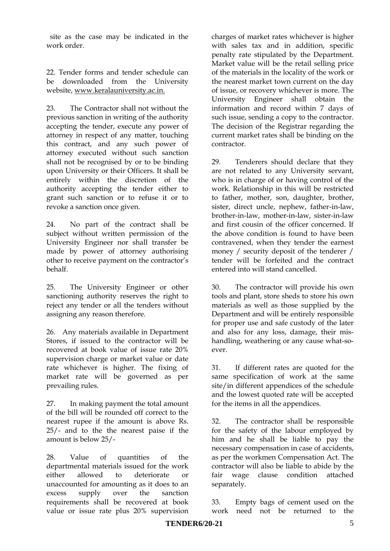site as the case may be indicated in the work order.

22. Tender forms and tender schedule can be downloaded from the University website, www.keralauniversity.ac.in.

23. The Contractor shall not without the previous sanction in writing of the authority accepting the tender, execute any power of attorney in respect of any matter, touching this contract, and any such power of attorney executed without such sanction shall not be recognised by or to be binding upon University or their Officers. It shall be entirely within the discretion of the authority accepting the tender either to grant such sanction or to refuse it or to revoke a sanction once given.

24. No part of the contract shall be subject without written permission of the University Engineer nor shall transfer be made by power of attorney authorising other to receive payment on the contractor's behalf.

25. The University Engineer or other sanctioning authority reserves the right to reject any tender or all the tenders without assigning any reason therefore.

26. Any materials available in Department Stores, if issued to the contractor will be recovered at book value of issue rate 20% supervision charge or market value or date rate whichever is higher. The fixing of market rate will be governed as per prevailing rules.

27. In making payment the total amount of the bill will be rounded off correct to the nearest rupee if the amount is above Rs. 25/- and to the the nearest paise if the amount is below 25/-

28. Value of quantities of the departmental materials issued for the work either allowed to deteriorate or unaccounted for amounting as it does to an excess supply over the sanction requirements shall be recovered at book value or issue rate plus 20% supervision

charges of market rates whichever is higher with sales tax and in addition, specific penalty rate stipulated by the Department. Market value will be the retail selling price of the materials in the locality of the work or the nearest market town current on the day of issue, or recovery whichever is more. The University Engineer shall obtain the information and record within 7 days of such issue, sending a copy to the contractor. The decision of the Registrar regarding the current market rates shall be binding on the contractor.

29. Tenderers should declare that they are not related to any University servant, who is in charge of or having control of the work. Relationship in this will be restricted to father, mother, son, daughter, brother, sister, direct uncle, nephew, father-in-law, brother-in-law, mother-in-law, sister-in-law and first cousin of the officer concerned. If the above condition is found to have been contravened, when they tender the earnest money / security deposit of the tenderer / tender will be forfeited and the contract entered into will stand cancelled.

30. The contractor will provide his own tools and plant, store sheds to store his own materials as well as those supplied by the Department and will be entirely responsible for proper use and safe custody of the later and also for any loss, damage, their mishandling, weathering or any cause what-soever.

31. If different rates are quoted for the same specification of work at the same site/in different appendices of the schedule and the lowest quoted rate will be accepted for the items in all the appendices.

32. The contractor shall be responsible for the safety of the labour employed by him and he shall be liable to pay the necessary compensation in case of accidents, as per the workmen Compensation Act. The contractor will also be liable to abide by the fair wage clause condition attached separately.

33. Empty bags of cement used on the work need not be returned to the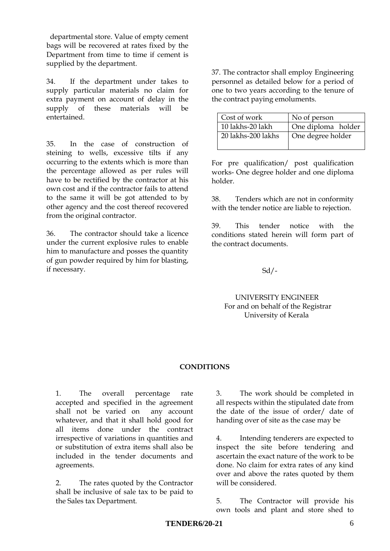departmental store. Value of empty cement bags will be recovered at rates fixed by the Department from time to time if cement is supplied by the department.

34. If the department under takes to supply particular materials no claim for extra payment on account of delay in the supply of these materials will be entertained.

35. In the case of construction of steining to wells, excessive tilts if any occurring to the extents which is more than the percentage allowed as per rules will have to be rectified by the contractor at his own cost and if the contractor fails to attend to the same it will be got attended to by other agency and the cost thereof recovered from the original contractor.

36. The contractor should take a licence under the current explosive rules to enable him to manufacture and posses the quantity of gun powder required by him for blasting, if necessary.

37. The contractor shall employ Engineering personnel as detailed below for a period of one to two years according to the tenure of the contract paying emoluments.

| Cost of work       | No of person       |
|--------------------|--------------------|
| 10 lakhs-20 lakh   | One diploma holder |
| 20 lakhs-200 lakhs | One degree holder  |
|                    |                    |

For pre qualification/ post qualification works- One degree holder and one diploma holder.

38. Tenders which are not in conformity with the tender notice are liable to rejection.

39. This tender notice with the conditions stated herein will form part of the contract documents.

 $Sd/$ -

UNIVERSITY ENGINEER For and on behalf of the Registrar University of Kerala

#### **CONDITIONS**

1. The overall percentage rate accepted and specified in the agreement shall not be varied on any account whatever, and that it shall hold good for all items done under the contract irrespective of variations in quantities and or substitution of extra items shall also be included in the tender documents and agreements.

2. The rates quoted by the Contractor shall be inclusive of sale tax to be paid to the Sales tax Department.

3. The work should be completed in all respects within the stipulated date from the date of the issue of order/ date of handing over of site as the case may be

4. Intending tenderers are expected to inspect the site before tendering and ascertain the exact nature of the work to be done. No claim for extra rates of any kind over and above the rates quoted by them will be considered.

5. The Contractor will provide his own tools and plant and store shed to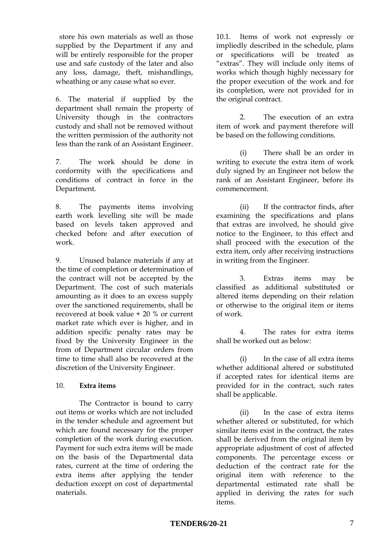store his own materials as well as those supplied by the Department if any and will be entirely responsible for the proper use and safe custody of the later and also any loss, damage, theft, mishandlings, wheathing or any cause what so ever.

6. The material if supplied by the department shall remain the property of University though in the contractors custody and shall not be removed without the written permission of the authority not less than the rank of an Assistant Engineer.

7. The work should be done in conformity with the specifications and conditions of contract in force in the Department.

8. The payments items involving earth work levelling site will be made based on levels taken approved and checked before and after execution of work.

9. Unused balance materials if any at the time of completion or determination of the contract will not be accepted by the Department. The cost of such materials amounting as it does to an excess supply over the sanctioned requirements, shall be recovered at book value + 20 % or current market rate which ever is higher, and in addition specific penalty rates may be fixed by the University Engineer in the from of Department circular orders from time to time shall also be recovered at the discretion of the University Engineer.

#### 10. **Extra items**

The Contractor is bound to carry out items or works which are not included in the tender schedule and agreement but which are found necessary for the proper completion of the work during execution. Payment for such extra items will be made on the basis of the Departmental data rates, current at the time of ordering the extra items after applying the tender deduction except on cost of departmental materials.

10.1. Items of work not expressly or impliedly described in the schedule, plans or specifications will be treated as "extras". They will include only items of works which though highly necessary for the proper execution of the work and for its completion, were not provided for in the original contract.

2. The execution of an extra item of work and payment therefore will be based on the following conditions.

(i) There shall be an order in writing to execute the extra item of work duly signed by an Engineer not below the rank of an Assistant Engineer, before its commencement.

(ii) If the contractor finds, after examining the specifications and plans that extras are involved, he should give notice to the Engineer, to this effect and shall proceed with the execution of the extra item, only after receiving instructions in writing from the Engineer.

3. Extras items may be classified as additional substituted or altered items depending on their relation or otherwise to the original item or items of work.

4. The rates for extra items shall be worked out as below:

(i) In the case of all extra items whether additional altered or substituted if accepted rates for identical items are provided for in the contract, such rates shall be applicable.

(ii) In the case of extra items whether altered or substituted, for which similar items exist in the contract, the rates shall be derived from the original item by appropriate adjustment of cost of affected components. The percentage excess or deduction of the contract rate for the original item with reference to the departmental estimated rate shall be applied in deriving the rates for such items.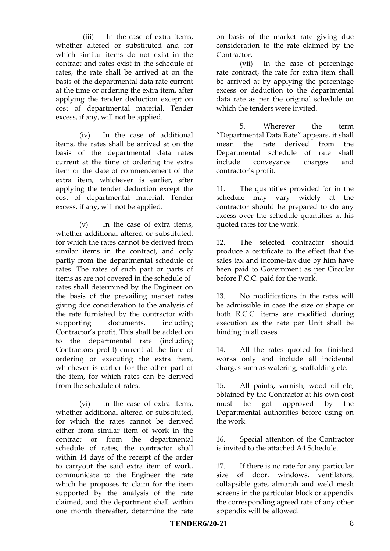(iii) In the case of extra items, whether altered or substituted and for which similar items do not exist in the contract and rates exist in the schedule of rates, the rate shall be arrived at on the basis of the departmental data rate current at the time or ordering the extra item, after applying the tender deduction except on cost of departmental material. Tender excess, if any, will not be applied.

(iv) In the case of additional items, the rates shall be arrived at on the basis of the departmental data rates current at the time of ordering the extra item or the date of commencement of the extra item, whichever is earlier, after applying the tender deduction except the cost of departmental material. Tender excess, if any, will not be applied.

(v) In the case of extra items, whether additional altered or substituted, for which the rates cannot be derived from similar items in the contract, and only partly from the departmental schedule of rates. The rates of such part or parts of items as are not covered in the schedule of rates shall determined by the Engineer on the basis of the prevailing market rates giving due consideration to the analysis of the rate furnished by the contractor with supporting documents, including Contractor's profit. This shall be added on to the departmental rate (including Contractors profit) current at the time of ordering or executing the extra item, whichever is earlier for the other part of the item, for which rates can be derived from the schedule of rates.

(vi) In the case of extra items, whether additional altered or substituted, for which the rates cannot be derived either from similar item of work in the contract or from the departmental schedule of rates, the contractor shall within 14 days of the receipt of the order to carryout the said extra item of work, communicate to the Engineer the rate which he proposes to claim for the item supported by the analysis of the rate claimed, and the department shall within one month thereafter, determine the rate

on basis of the market rate giving due consideration to the rate claimed by the Contractor.

(vii) In the case of percentage rate contract, the rate for extra item shall be arrived at by applying the percentage excess or deduction to the departmental data rate as per the original schedule on which the tenders were invited.

5. Wherever the term "Departmental Data Rate" appears, it shall mean the rate derived from the Departmental schedule of rate shall include conveyance charges and contractor's profit.

11. The quantities provided for in the schedule may vary widely at the contractor should be prepared to do any excess over the schedule quantities at his quoted rates for the work.

12. The selected contractor should produce a certificate to the effect that the sales tax and income-tax due by him have been paid to Government as per Circular before F.C.C. paid for the work.

13. No modifications in the rates will be admissible in case the size or shape or both R.C.C. items are modified during execution as the rate per Unit shall be binding in all cases.

14. All the rates quoted for finished works only and include all incidental charges such as watering, scaffolding etc.

15. All paints, varnish, wood oil etc, obtained by the Contractor at his own cost must be got approved by the Departmental authorities before using on the work.

16. Special attention of the Contractor is invited to the attached A4 Schedule.

17. If there is no rate for any particular size of door, windows, ventilators, collapsible gate, almarah and weld mesh screens in the particular block or appendix the corresponding agreed rate of any other appendix will be allowed.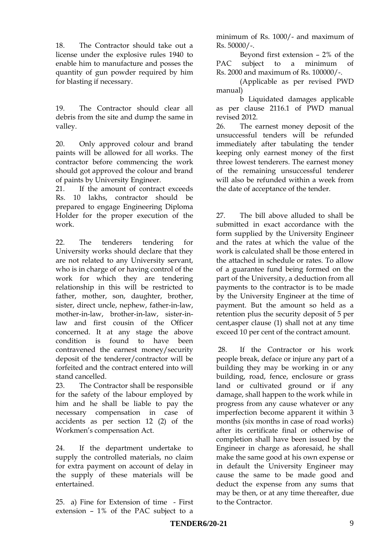18. The Contractor should take out a license under the explosive rules 1940 to enable him to manufacture and posses the quantity of gun powder required by him for blasting if necessary.

19. The Contractor should clear all debris from the site and dump the same in valley.

20. Only approved colour and brand paints will be allowed for all works. The contractor before commencing the work should got approved the colour and brand of paints by University Engineer.

21. If the amount of contract exceeds Rs. 10 lakhs, contractor should be prepared to engage Engineering Diploma Holder for the proper execution of the work.

22. The tenderers tendering for University works should declare that they are not related to any University servant, who is in charge of or having control of the work for which they are tendering relationship in this will be restricted to father, mother, son, daughter, brother, sister, direct uncle, nephew, father-in-law, mother-in-law, brother-in-law, sister-inlaw and first cousin of the Officer concerned. It at any stage the above condition is found to have been contravened the earnest money/security deposit of the tenderer/contractor will be forfeited and the contract entered into will stand cancelled.

23. The Contractor shall be responsible for the safety of the labour employed by him and he shall be liable to pay the necessary compensation in case of accidents as per section 12 (2) of the Workmen's compensation Act.

24. If the department undertake to supply the controlled materials, no claim for extra payment on account of delay in the supply of these materials will be entertained.

25. a) Fine for Extension of time - First extension – 1% of the PAC subject to a

minimum of Rs. 1000/- and maximum of Rs. 50000/-.

Beyond first extension – 2% of the PAC subject to a minimum of Rs. 2000 and maximum of Rs. 100000/-.

(Applicable as per revised PWD manual)

b Liquidated damages applicable as per clause 2116.1 of PWD manual revised 2012.

26. The earnest money deposit of the unsuccessful tenders will be refunded immediately after tabulating the tender keeping only earnest money of the first three lowest tenderers. The earnest money of the remaining unsuccessful tenderer will also be refunded within a week from the date of acceptance of the tender.

27. The bill above alluded to shall be submitted in exact accordance with the form supplied by the University Engineer and the rates at which the value of the work is calculated shall be those entered in the attached in schedule or rates. To allow of a guarantee fund being formed on the part of the University, a deduction from all payments to the contractor is to be made by the University Engineer at the time of payment. But the amount so held as a retention plus the security deposit of 5 per cent,asper clause (1) shall not at any time exceed 10 per cent of the contract amount.

28. If the Contractor or his work people break, deface or injure any part of a building they may be working in or any building, road, fence, enclosure or grass land or cultivated ground or if any damage, shall happen to the work while in progress from any cause whatever or any imperfection become apparent it within 3 months (six months in case of road works) after its certificate final or otherwise of completion shall have been issued by the Engineer in charge as aforesaid, he shall make the same good at his own expense or in default the University Engineer may cause the same to be made good and deduct the expense from any sums that may be then, or at any time thereafter, due to the Contractor.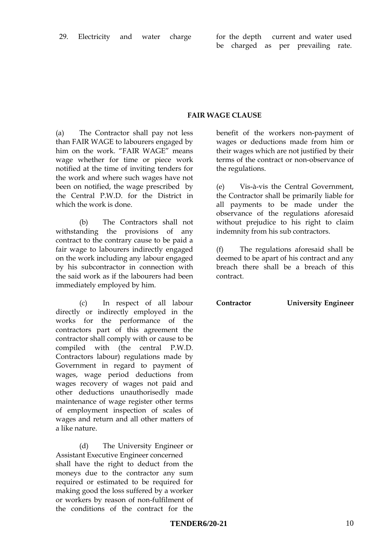#### **FAIR WAGE CLAUSE**

(a) The Contractor shall pay not less than FAIR WAGE to labourers engaged by him on the work. "FAIR WAGE" means wage whether for time or piece work notified at the time of inviting tenders for the work and where such wages have not been on notified, the wage prescribed by the Central P.W.D. for the District in which the work is done.

(b) The Contractors shall not withstanding the provisions of any contract to the contrary cause to be paid a fair wage to labourers indirectly engaged on the work including any labour engaged by his subcontractor in connection with the said work as if the labourers had been immediately employed by him.

(c) In respect of all labour directly or indirectly employed in the works for the performance of the contractors part of this agreement the contractor shall comply with or cause to be compiled with (the central P.W.D. Contractors labour) regulations made by Government in regard to payment of wages, wage period deductions from wages recovery of wages not paid and other deductions unauthorisedly made maintenance of wage register other terms of employment inspection of scales of wages and return and all other matters of a like nature.

(d) The University Engineer or Assistant Executive Engineer concerned shall have the right to deduct from the moneys due to the contractor any sum required or estimated to be required for making good the loss suffered by a worker or workers by reason of non-fulfilment of the conditions of the contract for the

benefit of the workers non-payment of wages or deductions made from him or their wages which are not justified by their terms of the contract or non-observance of the regulations.

(e) Vis-à-vis the Central Government, the Contractor shall be primarily liable for all payments to be made under the observance of the regulations aforesaid without prejudice to his right to claim indemnity from his sub contractors.

(f) The regulations aforesaid shall be deemed to be apart of his contract and any breach there shall be a breach of this contract.

**Contractor University Engineer**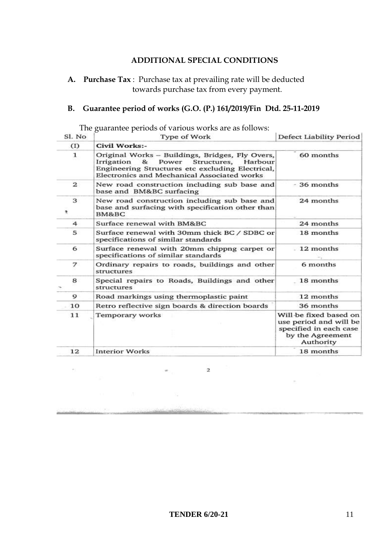#### **ADDITIONAL SPECIAL CONDITIONS**

 **A. Purchase Tax** : Purchase tax at prevailing rate will be deducted towards purchase tax from every payment.

### **B. Guarantee period of works (G.O. (P.) 161/2019/Fin Dtd. 25-11-2019**

| Sl. No         | Type of Work                                                                                                                                                                                               | Defect Liability Period                                                                                     |  |
|----------------|------------------------------------------------------------------------------------------------------------------------------------------------------------------------------------------------------------|-------------------------------------------------------------------------------------------------------------|--|
| (I)            | Civil Works:-                                                                                                                                                                                              |                                                                                                             |  |
| 1              | Original Works - Buildings, Bridges, Fly Overs,<br>Power<br>Irrigation<br>8.5<br>Structures,<br>Harbour<br>Engineering Structures etc excluding Electrical,<br>Electronics and Mechanical Associated works | 60 months                                                                                                   |  |
| $\mathbf{2}$   | New road construction including sub base and<br>base and BM&BC surfacing                                                                                                                                   | $-36$ months                                                                                                |  |
| 3<br>٠         | New road construction including sub base and<br>base and surfacing with specification other than<br>BM&BC                                                                                                  | 24 months                                                                                                   |  |
| $\overline{4}$ | Surface renewal with BM&BC                                                                                                                                                                                 | 24 months                                                                                                   |  |
| 5              | Surface renewal with 30mm thick BC / SDBC or<br>specifications of similar standards                                                                                                                        | 18 months                                                                                                   |  |
| 6              | $-12$ months<br>Surface renewal with 20mm chippng carpet or<br>specifications of similar standards                                                                                                         |                                                                                                             |  |
| 7              | Ordinary repairs to roads, buildings and other<br>structures                                                                                                                                               | 6 months                                                                                                    |  |
| 8              | Special repairs to Roads, Buildings and other<br>structures                                                                                                                                                | 18 months                                                                                                   |  |
| 9              | Road markings using thermoplastic paint                                                                                                                                                                    | 12 months                                                                                                   |  |
| 10             | Retro reflective sign boards & direction boards                                                                                                                                                            | 36 months                                                                                                   |  |
| 11             | Temporary works                                                                                                                                                                                            | Will be fixed based on<br>use period and will be<br>specified in each case<br>by the Agreement<br>Authority |  |
| 12             | <b>Interior Works</b>                                                                                                                                                                                      | 18 months                                                                                                   |  |

 $\overline{\mathbf{z}}$ 

The guarantee periods of various works are as follows: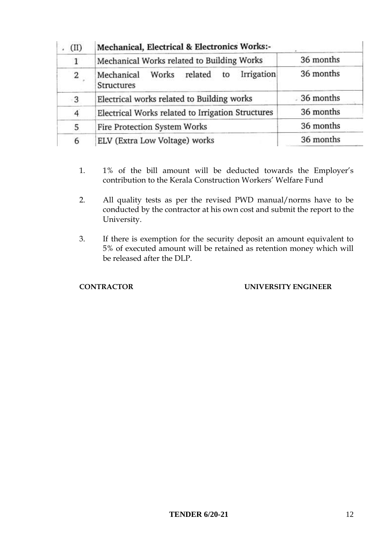| (II) | Mechanical, Electrical & Electronics Works:-                  |           |  |
|------|---------------------------------------------------------------|-----------|--|
| 1    | Mechanical Works related to Building Works                    | 36 months |  |
| 2    | Irrigation<br>Works related<br>Mechanical<br>to<br>Structures | 36 months |  |
| 3    | Electrical works related to Building works                    | 36 months |  |
| 4    | Electrical Works related to Irrigation Structures             | 36 months |  |
| 5    | Fire Protection System Works                                  | 36 months |  |
| 6    | ELV (Extra Low Voltage) works                                 | 36 months |  |

- 1. 1% of the bill amount will be deducted towards the Employer's contribution to the Kerala Construction Workers' Welfare Fund
- 2. All quality tests as per the revised PWD manual/norms have to be conducted by the contractor at his own cost and submit the report to the University.
- 3. If there is exemption for the security deposit an amount equivalent to 5% of executed amount will be retained as retention money which will be released after the DLP.

### **CONTRACTOR UNIVERSITY ENGINEER**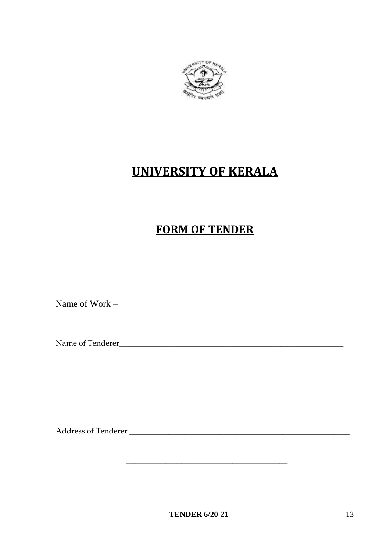

# **UNIVERSITY OF KERALA**

### **FORM OF TENDER**

Name of Work **–**

Name of Tenderer\_\_\_\_\_\_\_\_\_\_\_\_\_\_\_\_\_\_\_\_\_\_\_\_\_\_\_\_\_\_\_\_\_\_\_\_\_\_\_\_\_\_\_\_\_\_\_\_\_\_\_\_\_\_\_\_\_

Address of Tenderer \_\_\_\_\_\_\_\_\_\_\_\_\_\_\_\_\_\_\_\_\_\_\_\_\_\_\_\_\_\_\_\_\_\_\_\_\_\_\_\_\_\_\_\_\_\_\_\_\_\_\_\_\_\_\_\_

 $\overline{\phantom{a}}$  , where the contract of the contract of the contract of the contract of the contract of the contract of the contract of the contract of the contract of the contract of the contract of the contract of the contr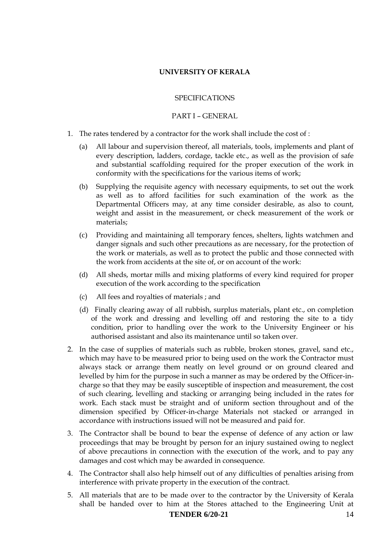#### **UNIVERSITY OF KERALA**

#### SPECIFICATIONS

#### PART I – GENERAL

- 1. The rates tendered by a contractor for the work shall include the cost of :
	- (a) All labour and supervision thereof, all materials, tools, implements and plant of every description, ladders, cordage, tackle etc., as well as the provision of safe and substantial scaffolding required for the proper execution of the work in conformity with the specifications for the various items of work;
	- (b) Supplying the requisite agency with necessary equipments, to set out the work as well as to afford facilities for such examination of the work as the Departmental Officers may, at any time consider desirable, as also to count, weight and assist in the measurement, or check measurement of the work or materials;
	- (c) Providing and maintaining all temporary fences, shelters, lights watchmen and danger signals and such other precautions as are necessary, for the protection of the work or materials, as well as to protect the public and those connected with the work from accidents at the site of, or on account of the work:
	- (d) All sheds, mortar mills and mixing platforms of every kind required for proper execution of the work according to the specification
	- (c) All fees and royalties of materials ; and
	- (d) Finally clearing away of all rubbish, surplus materials, plant etc., on completion of the work and dressing and levelling off and restoring the site to a tidy condition, prior to handling over the work to the University Engineer or his authorised assistant and also its maintenance until so taken over.
- 2. In the case of supplies of materials such as rubble, broken stones, gravel, sand etc., which may have to be measured prior to being used on the work the Contractor must always stack or arrange them neatly on level ground or on ground cleared and levelled by him for the purpose in such a manner as may be ordered by the Officer-incharge so that they may be easily susceptible of inspection and measurement, the cost of such clearing, levelling and stacking or arranging being included in the rates for work. Each stack must be straight and of uniform section throughout and of the dimension specified by Officer-in-charge Materials not stacked or arranged in accordance with instructions issued will not be measured and paid for.
- 3. The Contractor shall be bound to bear the expense of defence of any action or law proceedings that may be brought by person for an injury sustained owing to neglect of above precautions in connection with the execution of the work, and to pay any damages and cost which may be awarded in consequence.
- 4. The Contractor shall also help himself out of any difficulties of penalties arising from interference with private property in the execution of the contract.
- **TENDER 6/20-21** 14 5. All materials that are to be made over to the contractor by the University of Kerala shall be handed over to him at the Stores attached to the Engineering Unit at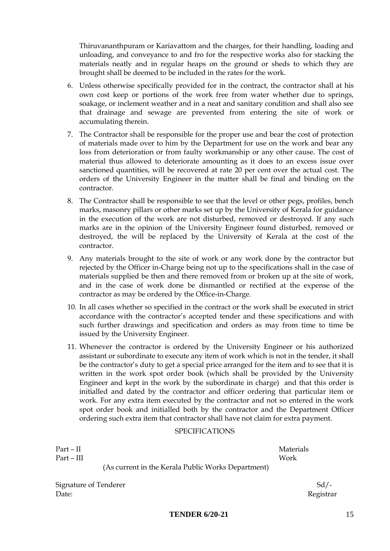Thiruvananthpuram or Kariavattom and the charges, for their handling, loading and unloading, and conveyance to and fro for the respective works also for stacking the materials neatly and in regular heaps on the ground or sheds to which they are brought shall be deemed to be included in the rates for the work.

- 6. Unless otherwise specifically provided for in the contract, the contractor shall at his own cost keep or portions of the work free from water whether due to springs, soakage, or inclement weather and in a neat and sanitary condition and shall also see that drainage and sewage are prevented from entering the site of work or accumulating therein.
- 7. The Contractor shall be responsible for the proper use and bear the cost of protection of materials made over to him by the Department for use on the work and bear any loss from deterioration or from faulty workmanship or any other cause. The cost of material thus allowed to deteriorate amounting as it does to an excess issue over sanctioned quantities, will be recovered at rate 20 per cent over the actual cost. The orders of the University Engineer in the matter shall be final and binding on the contractor.
- 8. The Contractor shall be responsible to see that the level or other pegs, profiles, bench marks, masonry pillars or other marks set up by the University of Kerala for guidance in the execution of the work are not disturbed, removed or destroyed. If any such marks are in the opinion of the University Engineer found disturbed, removed or destroyed, the will be replaced by the University of Kerala at the cost of the contractor.
- 9. Any materials brought to the site of work or any work done by the contractor but rejected by the Officer in-Charge being not up to the specifications shall in the case of materials supplied be then and there removed from or broken up at the site of work, and in the case of work done be dismantled or rectified at the expense of the contractor as may be ordered by the Office-in-Charge.
- 10. In all cases whether so specified in the contract or the work shall be executed in strict accordance with the contractor's accepted tender and these specifications and with such further drawings and specification and orders as may from time to time be issued by the University Engineer.
- 11. Whenever the contractor is ordered by the University Engineer or his authorized assistant or subordinate to execute any item of work which is not in the tender, it shall be the contractor's duty to get a special price arranged for the item and to see that it is written in the work spot order book (which shall be provided by the University Engineer and kept in the work by the subordinate in charge) and that this order is initialled and dated by the contractor and officer ordering that particular item or work. For any extra item executed by the contractor and not so entered in the work spot order book and initialled both by the contractor and the Department Officer ordering such extra item that contractor shall have not claim for extra payment.

#### SPECIFICATIONS

| Part – II  |                                                    | <b>Materials</b> |
|------------|----------------------------------------------------|------------------|
| Part – III |                                                    | Work             |
|            | (As current in the Kerala Public Works Department) |                  |

Signature of Tenderer Sd/-Date: Registrar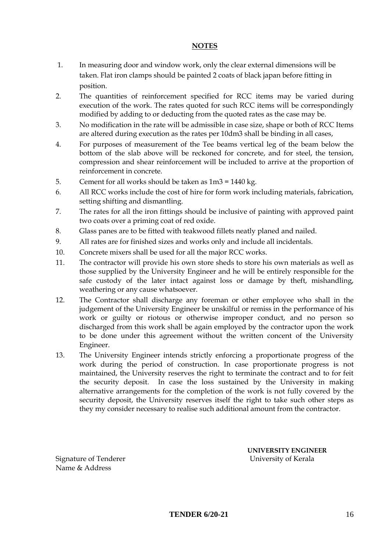#### **NOTES**

- 1. In measuring door and window work, only the clear external dimensions will be taken. Flat iron clamps should be painted 2 coats of black japan before fitting in position.
- 2. The quantities of reinforcement specified for RCC items may be varied during execution of the work. The rates quoted for such RCC items will be correspondingly modified by adding to or deducting from the quoted rates as the case may be.
- 3. No modification in the rate will be admissible in case size, shape or both of RCC Items are altered during execution as the rates per 10dm3 shall be binding in all cases,
- 4. For purposes of measurement of the Tee beams vertical leg of the beam below the bottom of the slab above will be reckoned for concrete, and for steel, the tension, compression and shear reinforcement will be included to arrive at the proportion of reinforcement in concrete.
- 5. Cement for all works should be taken as 1m3 = 1440 kg.
- 6. All RCC works include the cost of hire for form work including materials, fabrication, setting shifting and dismantling.
- 7. The rates for all the iron fittings should be inclusive of painting with approved paint two coats over a priming coat of red oxide.
- 8. Glass panes are to be fitted with teakwood fillets neatly planed and nailed.
- 9. All rates are for finished sizes and works only and include all incidentals.
- 10. Concrete mixers shall be used for all the major RCC works.
- 11. The contractor will provide his own store sheds to store his own materials as well as those supplied by the University Engineer and he will be entirely responsible for the safe custody of the later intact against loss or damage by theft, mishandling, weathering or any cause whatsoever.
- 12. The Contractor shall discharge any foreman or other employee who shall in the judgement of the University Engineer be unskilful or remiss in the performance of his work or guilty or riotous or otherwise improper conduct, and no person so discharged from this work shall be again employed by the contractor upon the work to be done under this agreement without the written concent of the University Engineer.
- 13. The University Engineer intends strictly enforcing a proportionate progress of the work during the period of construction. In case proportionate progress is not maintained, the University reserves the right to terminate the contract and to for feit the security deposit. In case the loss sustained by the University in making alternative arrangements for the completion of the work is not fully covered by the security deposit, the University reserves itself the right to take such other steps as they my consider necessary to realise such additional amount from the contractor.

Signature of Tenderer University of Kerala Name & Address

**UNIVERSITY ENGINEER**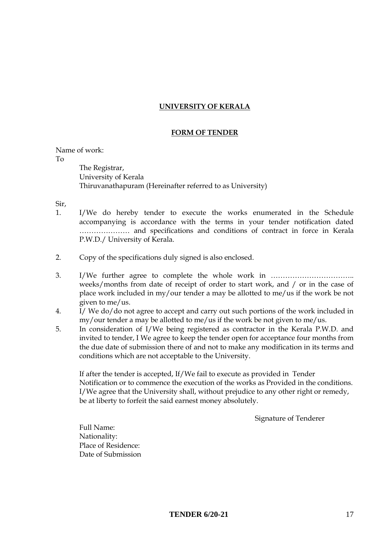#### **UNIVERSITY OF KERALA**

#### **FORM OF TENDER**

Name of work:

To

The Registrar, University of Kerala Thiruvanathapuram (Hereinafter referred to as University)

Sir,

- 1. I/We do hereby tender to execute the works enumerated in the Schedule accompanying is accordance with the terms in your tender notification dated ………………… and specifications and conditions of contract in force in Kerala P.W.D./ University of Kerala.
- 2. Copy of the specifications duly signed is also enclosed.
- 3. I/We further agree to complete the whole work in …………………………….. weeks/months from date of receipt of order to start work, and / or in the case of place work included in my/our tender a may be allotted to me/us if the work be not given to me/us.
- 4. I/ We do/do not agree to accept and carry out such portions of the work included in my/our tender a may be allotted to me/us if the work be not given to me/us.
- 5. In consideration of I/We being registered as contractor in the Kerala P.W.D. and invited to tender, I We agree to keep the tender open for acceptance four months from the due date of submission there of and not to make any modification in its terms and conditions which are not acceptable to the University.

If after the tender is accepted, If/We fail to execute as provided in Tender Notification or to commence the execution of the works as Provided in the conditions. I/We agree that the University shall, without prejudice to any other right or remedy, be at liberty to forfeit the said earnest money absolutely.

Signature of Tenderer

Full Name: Nationality: Place of Residence: Date of Submission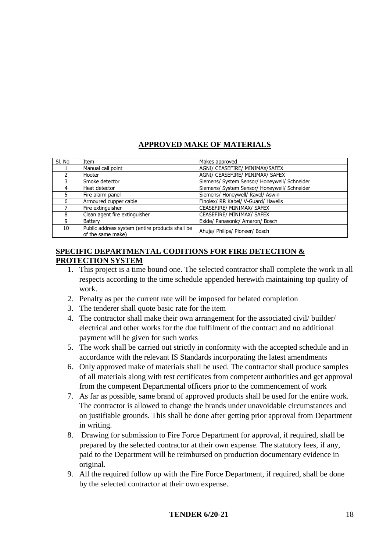### **APPROVED MAKE OF MATERIALS**

| SI. No | Item                                                                 | Makes approved                               |
|--------|----------------------------------------------------------------------|----------------------------------------------|
|        | Manual call point                                                    | AGNI/ CEASEFIRE/ MINIMAX/SAFEX               |
|        | Hooter                                                               | AGNI/ CEASEFIRE/ MINIMAX/ SAFEX              |
|        | Smoke detector                                                       | Siemens/ System Sensor/ Honeywell/ Schneider |
| 4      | Heat detector                                                        | Siemens/ System Sensor/ Honeywell/ Schneider |
|        | Fire alarm panel                                                     | Siemens/ Honeywell/ Ravel/ Aswin             |
| 6      | Armoured cupper cable                                                | Finolex/ RR Kabel/ V-Guard/ Havells          |
|        | Fire extinguisher                                                    | CEASEFIRE/ MINIMAX/ SAFEX                    |
| 8      | Clean agent fire extinguisher                                        | CEASEFIRE/ MINIMAX/ SAFEX                    |
| 9      | Battery                                                              | Exide/ Panasonic/ Amaron/ Bosch              |
| 10     | Public address system (entire products shall be<br>of the same make) | Ahuja/ Philips/ Pioneer/ Bosch               |

#### **SPECIFIC DEPARTMENTAL CODITIONS FOR FIRE DETECTION & PROTECTION SYSTEM**

- 1. This project is a time bound one. The selected contractor shall complete the work in all respects according to the time schedule appended herewith maintaining top quality of work.
- 2. Penalty as per the current rate will be imposed for belated completion
- 3. The tenderer shall quote basic rate for the item
- 4. The contractor shall make their own arrangement for the associated civil/ builder/ electrical and other works for the due fulfilment of the contract and no additional payment will be given for such works
- 5. The work shall be carried out strictly in conformity with the accepted schedule and in accordance with the relevant IS Standards incorporating the latest amendments
- 6. Only approved make of materials shall be used. The contractor shall produce samples of all materials along with test certificates from competent authorities and get approval from the competent Departmental officers prior to the commencement of work
- 7. As far as possible, same brand of approved products shall be used for the entire work. The contractor is allowed to change the brands under unavoidable circumstances and on justifiable grounds. This shall be done after getting prior approval from Department in writing.
- 8. Drawing for submission to Fire Force Department for approval, if required, shall be prepared by the selected contractor at their own expense. The statutory fees, if any, paid to the Department will be reimbursed on production documentary evidence in original.
- 9. All the required follow up with the Fire Force Department, if required, shall be done by the selected contractor at their own expense.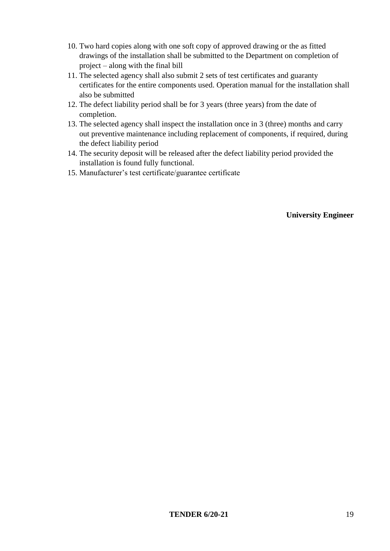- 10. Two hard copies along with one soft copy of approved drawing or the as fitted drawings of the installation shall be submitted to the Department on completion of project – along with the final bill
- 11. The selected agency shall also submit 2 sets of test certificates and guaranty certificates for the entire components used. Operation manual for the installation shall also be submitted
- 12. The defect liability period shall be for 3 years (three years) from the date of completion.
- 13. The selected agency shall inspect the installation once in 3 (three) months and carry out preventive maintenance including replacement of components, if required, during the defect liability period
- 14. The security deposit will be released after the defect liability period provided the installation is found fully functional.
- 15. Manufacturer's test certificate/guarantee certificate

#### **University Engineer**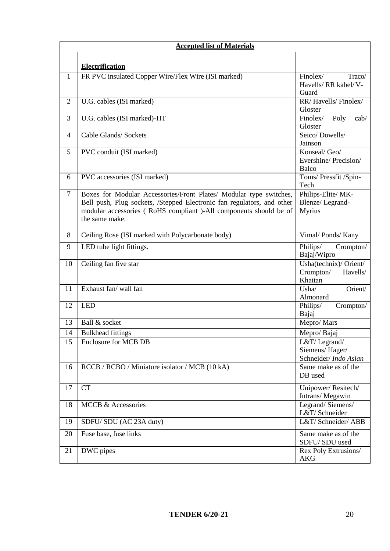| <b>Accepted list of Materials</b> |                                                                                                                                                                                                                                     |                                                            |  |
|-----------------------------------|-------------------------------------------------------------------------------------------------------------------------------------------------------------------------------------------------------------------------------------|------------------------------------------------------------|--|
|                                   |                                                                                                                                                                                                                                     |                                                            |  |
|                                   | <b>Electrification</b>                                                                                                                                                                                                              |                                                            |  |
| $\mathbf{1}$                      | FR PVC insulated Copper Wire/Flex Wire (ISI marked)                                                                                                                                                                                 | Finolex/<br>Traco/<br>Havells/ RR kabel/ V-<br>Guard       |  |
| $\mathbf{2}$                      | U.G. cables (ISI marked)                                                                                                                                                                                                            | RR/Havells/Finolex/<br>Gloster                             |  |
| 3                                 | U.G. cables (ISI marked)-HT                                                                                                                                                                                                         | $\overline{\text{Finolex}}$<br>Poly<br>cab/<br>Gloster     |  |
| $\overline{4}$                    | Cable Glands/ Sockets                                                                                                                                                                                                               | Seico/Dowells/<br>Jainson                                  |  |
| 5                                 | PVC conduit (ISI marked)                                                                                                                                                                                                            | Konseal/ Geo/<br>Evershine/Precision/<br>Balco             |  |
| 6                                 | PVC accessories (ISI marked)                                                                                                                                                                                                        | Toms/ Pressfit /Spin-<br>Tech                              |  |
| $\overline{7}$                    | Boxes for Modular Accessories/Front Plates/ Modular type switches,<br>Bell push, Plug sockets, /Stepped Electronic fan regulators, and other<br>modular accessories (RoHS compliant )-All components should be of<br>the same make. | Philips-Elite/MK-<br>Blenze/Legrand-<br><b>Myrius</b>      |  |
| 8                                 | Ceiling Rose (ISI marked with Polycarbonate body)                                                                                                                                                                                   | Vimal/Ponds/Kany                                           |  |
| 9                                 | LED tube light fittings.                                                                                                                                                                                                            | Philips/<br>Crompton/<br>Bajaj/Wipro                       |  |
| 10                                | Ceiling fan five star                                                                                                                                                                                                               | Usha(technix)/ Orient/<br>Crompton/<br>Havells/<br>Khaitan |  |
| 11                                | Exhaust fan/ wall fan                                                                                                                                                                                                               | Orient/<br>Usha/<br>Almonard                               |  |
| 12                                | <b>LED</b>                                                                                                                                                                                                                          | Crompton/<br>Philips/<br>Bajaj                             |  |
| 13                                | Ball & socket                                                                                                                                                                                                                       | Mepro/Mars                                                 |  |
| 14                                | <b>Bulkhead fittings</b>                                                                                                                                                                                                            | Mepro/Bajaj                                                |  |
| 15                                | <b>Enclosure for MCB DB</b>                                                                                                                                                                                                         | L&T/Legrand/<br>Siemens/Hager/<br>Schneider/Indo Asian     |  |
| 16                                | RCCB / RCBO / Miniature isolator / MCB (10 kA)                                                                                                                                                                                      | Same make as of the<br>DB used                             |  |
| 17                                | <b>CT</b>                                                                                                                                                                                                                           | Unipower/Resitech/<br>Intrans/ Megawin                     |  |
| 18                                | <b>MCCB &amp; Accessories</b>                                                                                                                                                                                                       | Legrand/Siemens/<br>L&T/Schneider                          |  |
| 19                                | SDFU/SDU (AC 23A duty)                                                                                                                                                                                                              | L&T/ Schneider/ ABB                                        |  |
| 20                                | Fuse base, fuse links                                                                                                                                                                                                               | Same make as of the<br>SDFU/SDU used                       |  |
| 21                                | DWC pipes                                                                                                                                                                                                                           | Rex Poly Extrusions/<br><b>AKG</b>                         |  |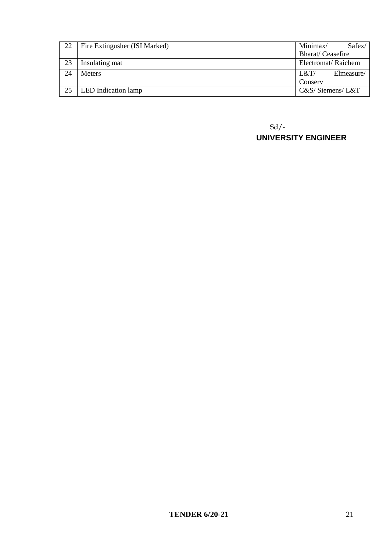| Fire Extingusher (ISI Marked) | Minimax/ | Safex/                                                                 |
|-------------------------------|----------|------------------------------------------------------------------------|
|                               |          |                                                                        |
| Insulating mat                |          |                                                                        |
| <b>Meters</b>                 | L&T/     | Elmeasure/                                                             |
|                               | Conserv  |                                                                        |
| LED Indication lamp           |          |                                                                        |
|                               |          | <b>Bharat/Ceasefire</b><br>Electromat/Raichem<br>$C&S/$ Siemens/ $L&T$ |

 Sd/- **UNIVERSITY ENGINEER**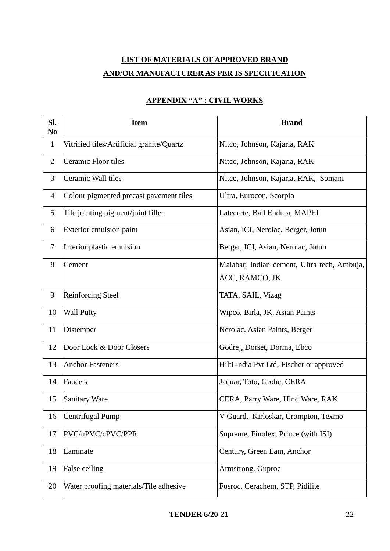### **LIST OF MATERIALS OF APPROVED BRAND AND/OR MANUFACTURER AS PER IS SPECIFICATION**

| SI.<br>N <sub>0</sub> | <b>Item</b>                               | <b>Brand</b>                                |
|-----------------------|-------------------------------------------|---------------------------------------------|
| $\mathbf{1}$          | Vitrified tiles/Artificial granite/Quartz | Nitco, Johnson, Kajaria, RAK                |
| $\overline{2}$        | Ceramic Floor tiles                       | Nitco, Johnson, Kajaria, RAK                |
| $\mathfrak{Z}$        | Ceramic Wall tiles                        | Nitco, Johnson, Kajaria, RAK, Somani        |
| $\overline{4}$        | Colour pigmented precast pavement tiles   | Ultra, Eurocon, Scorpio                     |
| 5                     | Tile jointing pigment/joint filler        | Latecrete, Ball Endura, MAPEI               |
| 6                     | Exterior emulsion paint                   | Asian, ICI, Nerolac, Berger, Jotun          |
| $\tau$                | Interior plastic emulsion                 | Berger, ICI, Asian, Nerolac, Jotun          |
| 8                     | Cement                                    | Malabar, Indian cement, Ultra tech, Ambuja, |
|                       |                                           | ACC, RAMCO, JK                              |
| 9                     | <b>Reinforcing Steel</b>                  | TATA, SAIL, Vizag                           |
| 10                    | <b>Wall Putty</b>                         | Wipco, Birla, JK, Asian Paints              |
| 11                    | Distemper                                 | Nerolac, Asian Paints, Berger               |
| 12                    | Door Lock & Door Closers                  | Godrej, Dorset, Dorma, Ebco                 |
| 13                    | <b>Anchor Fasteners</b>                   | Hilti India Pvt Ltd, Fischer or approved    |
| 14                    | Faucets                                   | Jaquar, Toto, Grohe, CERA                   |
| 15                    | <b>Sanitary Ware</b>                      | CERA, Parry Ware, Hind Ware, RAK            |
| 16                    | Centrifugal Pump                          | V-Guard, Kirloskar, Crompton, Texmo         |
| 17                    | PVC/uPVC/cPVC/PPR                         | Supreme, Finolex, Prince (with ISI)         |
| 18                    | Laminate                                  | Century, Green Lam, Anchor                  |
| 19                    | False ceiling                             | Armstrong, Guproc                           |
| 20                    | Water proofing materials/Tile adhesive    | Fosroc, Cerachem, STP, Pidilite             |

### **APPENDIX "A" : CIVIL WORKS**